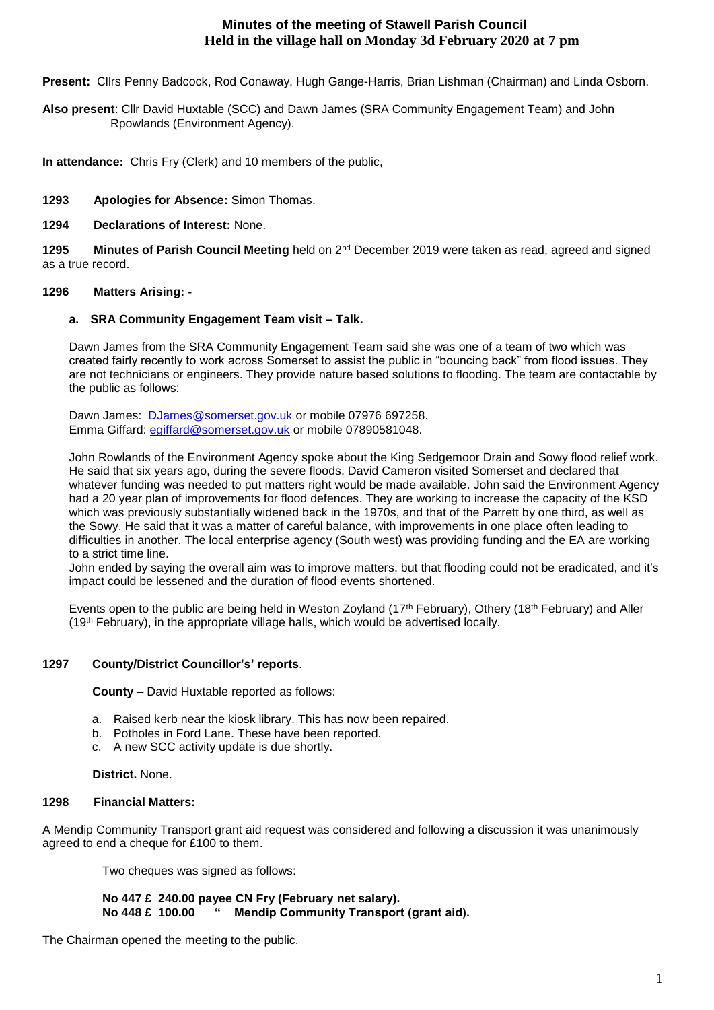# **Minutes of the meeting of Stawell Parish Council Held in the village hall on Monday 3d February 2020 at 7 pm**

**Present:** Cllrs Penny Badcock, Rod Conaway, Hugh Gange-Harris, Brian Lishman (Chairman) and Linda Osborn.

**Also present**: Cllr David Huxtable (SCC) and Dawn James (SRA Community Engagement Team) and John Rpowlands (Environment Agency).

**In attendance:** Chris Fry (Clerk) and 10 members of the public,

**1293 Apologies for Absence:** Simon Thomas.

**1294 Declarations of Interest:** None.

1295 **Minutes of Parish Council Meeting** held on 2<sup>nd</sup> December 2019 were taken as read, agreed and signed as a true record.

# **1296 Matters Arising: -**

## **a. SRA Community Engagement Team visit – Talk.**

Dawn James from the SRA Community Engagement Team said she was one of a team of two which was created fairly recently to work across Somerset to assist the public in "bouncing back" from flood issues. They are not technicians or engineers. They provide nature based solutions to flooding. The team are contactable by the public as follows:

Dawn James: [DJames@somerset.gov.uk](mailto:DJames@somerset.gov.uk) or mobile 07976 697258. Emma Giffard: [egiffard@somerset.gov.uk](mailto:egiffard@somerset.gov.uk) or mobile 07890581048.

John Rowlands of the Environment Agency spoke about the King Sedgemoor Drain and Sowy flood relief work. He said that six years ago, during the severe floods, David Cameron visited Somerset and declared that whatever funding was needed to put matters right would be made available. John said the Environment Agency had a 20 year plan of improvements for flood defences. They are working to increase the capacity of the KSD which was previously substantially widened back in the 1970s, and that of the Parrett by one third, as well as the Sowy. He said that it was a matter of careful balance, with improvements in one place often leading to difficulties in another. The local enterprise agency (South west) was providing funding and the EA are working to a strict time line.

John ended by saying the overall aim was to improve matters, but that flooding could not be eradicated, and it's impact could be lessened and the duration of flood events shortened.

Events open to the public are being held in Weston Zoyland (17th February), Othery (18th February) and Aller  $(19<sup>th</sup> February)$ , in the appropriate village halls, which would be advertised locally.

# **1297 County/District Councillor's' reports**.

**County** – David Huxtable reported as follows:

- a. Raised kerb near the kiosk library. This has now been repaired.
- b. Potholes in Ford Lane. These have been reported.
- c. A new SCC activity update is due shortly.

**District.** None.

# **1298 Financial Matters:**

A Mendip Community Transport grant aid request was considered and following a discussion it was unanimously agreed to end a cheque for £100 to them.

Two cheques was signed as follows:

 **No 447 £ 240.00 payee CN Fry (February net salary). No 448 £ 100.00 " Mendip Community Transport (grant aid).**

The Chairman opened the meeting to the public.